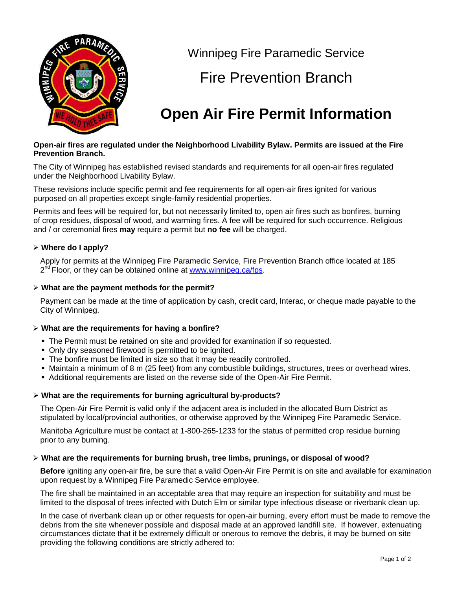

Winnipeg Fire Paramedic Service

## Fire Prevention Branch

# **Open Air Fire Permit Information**

#### **Open-air fires are regulated under the Neighborhood Livability Bylaw. Permits are issued at the Fire Prevention Branch.**

The City of Winnipeg has established revised standards and requirements for all open-air fires regulated under the Neighborhood Livability Bylaw.

These revisions include specific permit and fee requirements for all open-air fires ignited for various purposed on all properties except single-family residential properties.

Permits and fees will be required for, but not necessarily limited to, open air fires such as bonfires, burning of crop residues, disposal of wood, and warming fires. A fee will be required for such occurrence. Religious and / or ceremonial fires **may** require a permit but **no fee** will be charged.

### **Where do I apply?**

Apply for permits at the Winnipeg Fire Paramedic Service, Fire Prevention Branch office located at 185 2<sup>nd</sup> Floor, or they can be obtained online at [www.winnipeg.ca/fps.](http://www.winnipeg.ca/fps)

#### **What are the payment methods for the permit?**

Payment can be made at the time of application by cash, credit card, Interac, or cheque made payable to the City of Winnipeg.

#### **What are the requirements for having a bonfire?**

- The Permit must be retained on site and provided for examination if so requested.
- Only dry seasoned firewood is permitted to be ignited.
- The bonfire must be limited in size so that it may be readily controlled.
- Maintain a minimum of 8 m (25 feet) from any combustible buildings, structures, trees or overhead wires.
- Additional requirements are listed on the reverse side of the Open-Air Fire Permit.

#### **What are the requirements for burning agricultural by-products?**

The Open-Air Fire Permit is valid only if the adjacent area is included in the allocated Burn District as stipulated by local/provincial authorities, or otherwise approved by the Winnipeg Fire Paramedic Service.

Manitoba Agriculture must be contact at 1-800-265-1233 for the status of permitted crop residue burning prior to any burning.

#### **What are the requirements for burning brush, tree limbs, prunings, or disposal of wood?**

**Before** igniting any open-air fire, be sure that a valid Open-Air Fire Permit is on site and available for examination upon request by a Winnipeg Fire Paramedic Service employee.

The fire shall be maintained in an acceptable area that may require an inspection for suitability and must be limited to the disposal of trees infected with Dutch Elm or similar type infectious disease or riverbank clean up.

In the case of riverbank clean up or other requests for open-air burning, every effort must be made to remove the debris from the site whenever possible and disposal made at an approved landfill site. If however, extenuating circumstances dictate that it be extremely difficult or onerous to remove the debris, it may be burned on site providing the following conditions are strictly adhered to: